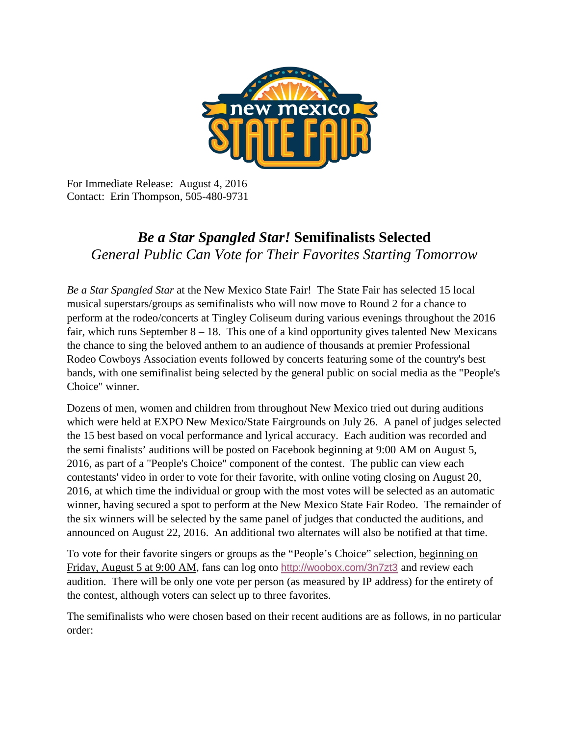

For Immediate Release: August 4, 2016 Contact: Erin Thompson, 505-480-9731

## *Be a Star Spangled Star!* **Semifinalists Selected**  *General Public Can Vote for Their Favorites Starting Tomorrow*

*Be a Star Spangled Star* at the New Mexico State Fair! The State Fair has selected 15 local musical superstars/groups as semifinalists who will now move to Round 2 for a chance to perform at the rodeo/concerts at Tingley Coliseum during various evenings throughout the 2016 fair, which runs September  $8 - 18$ . This one of a kind opportunity gives talented New Mexicans the chance to sing the beloved anthem to an audience of thousands at premier Professional Rodeo Cowboys Association events followed by concerts featuring some of the country's best bands, with one semifinalist being selected by the general public on social media as the "People's Choice" winner.

Dozens of men, women and children from throughout New Mexico tried out during auditions which were held at EXPO New Mexico/State Fairgrounds on July 26. A panel of judges selected the 15 best based on vocal performance and lyrical accuracy. Each audition was recorded and the semi finalists' auditions will be posted on Facebook beginning at 9:00 AM on August 5, 2016, as part of a "People's Choice" component of the contest. The public can view each contestants' video in order to vote for their favorite, with online voting closing on August 20, 2016, at which time the individual or group with the most votes will be selected as an automatic winner, having secured a spot to perform at the New Mexico State Fair Rodeo. The remainder of the six winners will be selected by the same panel of judges that conducted the auditions, and announced on August 22, 2016. An additional two alternates will also be notified at that time.

To vote for their favorite singers or groups as the "People's Choice" selection, beginning on Friday, August 5 at 9:00 AM, fans can log onto <http://woobox.com/3n7zt3> and review each audition. There will be only one vote per person (as measured by IP address) for the entirety of the contest, although voters can select up to three favorites.

The semifinalists who were chosen based on their recent auditions are as follows, in no particular order: